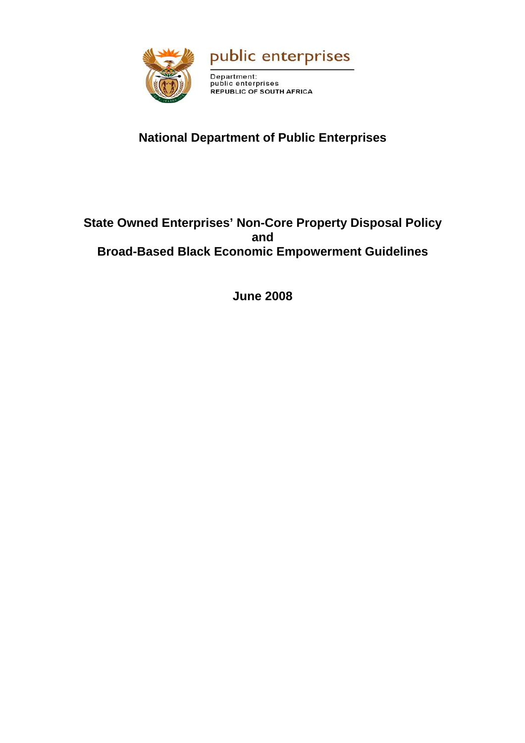



Department:<br>public enterprises REPUBLIC OF SOUTH AFRICA

# **National Department of Public Enterprises**

## **State Owned Enterprises' Non-Core Property Disposal Policy and Broad-Based Black Economic Empowerment Guidelines**

**June 2008**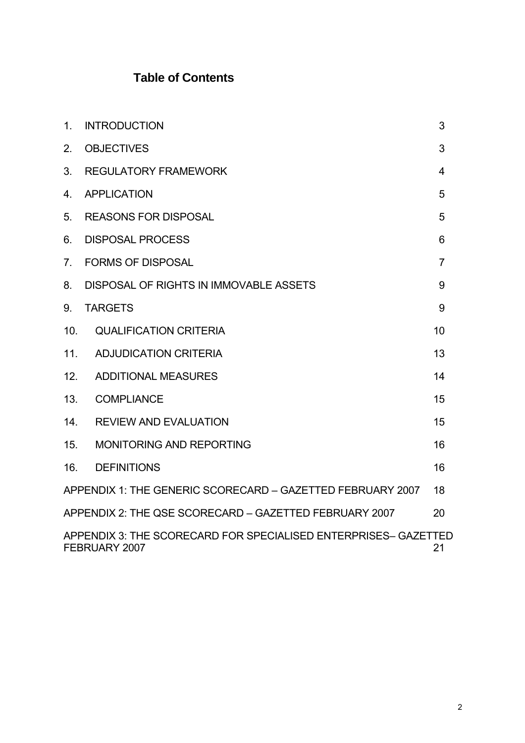# **Table of Contents**

| $\mathbf{1}$ .  | <b>INTRODUCTION</b>                                                              | 3              |
|-----------------|----------------------------------------------------------------------------------|----------------|
| 2.              | <b>OBJECTIVES</b>                                                                | 3              |
| 3 <sub>1</sub>  | <b>REGULATORY FRAMEWORK</b>                                                      | 4              |
| 4.              | <b>APPLICATION</b>                                                               | 5              |
| 5.              | <b>REASONS FOR DISPOSAL</b>                                                      | 5              |
| 6.              | <b>DISPOSAL PROCESS</b>                                                          | 6              |
| 7 <sub>1</sub>  | <b>FORMS OF DISPOSAL</b>                                                         | $\overline{7}$ |
| 8.              | DISPOSAL OF RIGHTS IN IMMOVABLE ASSETS                                           | 9              |
| 9.              | <b>TARGETS</b>                                                                   | 9              |
| 10 <sub>1</sub> | <b>QUALIFICATION CRITERIA</b>                                                    | 10             |
| 11.             | <b>ADJUDICATION CRITERIA</b>                                                     | 13             |
| 12.             | <b>ADDITIONAL MEASURES</b>                                                       | 14             |
| 13.             | <b>COMPLIANCE</b>                                                                | 15             |
| 14.             | <b>REVIEW AND EVALUATION</b>                                                     | 15             |
| 15.             | <b>MONITORING AND REPORTING</b>                                                  | 16             |
| 16.             | <b>DEFINITIONS</b>                                                               | 16             |
|                 | APPENDIX 1: THE GENERIC SCORECARD - GAZETTED FEBRUARY 2007                       | 18             |
|                 | APPENDIX 2: THE QSE SCORECARD - GAZETTED FEBRUARY 2007                           | 20             |
|                 | APPENDIX 3: THE SCORECARD FOR SPECIALISED ENTERPRISES- GAZETTED<br>FEBRUARY 2007 | 21             |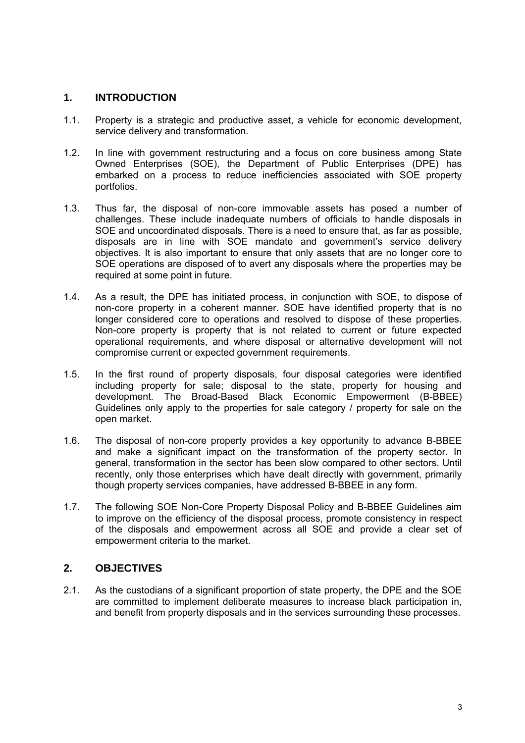## <span id="page-2-0"></span>**1. INTRODUCTION**

- 1.1. Property is a strategic and productive asset, a vehicle for economic development, service delivery and transformation.
- 1.2. In line with government restructuring and a focus on core business among State Owned Enterprises (SOE), the Department of Public Enterprises (DPE) has embarked on a process to reduce inefficiencies associated with SOE property portfolios.
- 1.3. Thus far, the disposal of non-core immovable assets has posed a number of challenges. These include inadequate numbers of officials to handle disposals in SOE and uncoordinated disposals. There is a need to ensure that, as far as possible, disposals are in line with SOE mandate and government's service delivery objectives. It is also important to ensure that only assets that are no longer core to SOE operations are disposed of to avert any disposals where the properties may be required at some point in future.
- 1.4. As a result, the DPE has initiated process, in conjunction with SOE, to dispose of non-core property in a coherent manner. SOE have identified property that is no longer considered core to operations and resolved to dispose of these properties. Non-core property is property that is not related to current or future expected operational requirements, and where disposal or alternative development will not compromise current or expected government requirements.
- 1.5. In the first round of property disposals, four disposal categories were identified including property for sale; disposal to the state, property for housing and development. The Broad-Based Black Economic Empowerment (B-BBEE) Guidelines only apply to the properties for sale category / property for sale on the open market.
- 1.6. The disposal of non-core property provides a key opportunity to advance B-BBEE and make a significant impact on the transformation of the property sector. In general, transformation in the sector has been slow compared to other sectors. Until recently, only those enterprises which have dealt directly with government, primarily though property services companies, have addressed B-BBEE in any form.
- 1.7. The following SOE Non-Core Property Disposal Policy and B-BBEE Guidelines aim to improve on the efficiency of the disposal process, promote consistency in respect of the disposals and empowerment across all SOE and provide a clear set of empowerment criteria to the market.

## **2. OBJECTIVES**

2.1. As the custodians of a significant proportion of state property, the DPE and the SOE are committed to implement deliberate measures to increase black participation in, and benefit from property disposals and in the services surrounding these processes.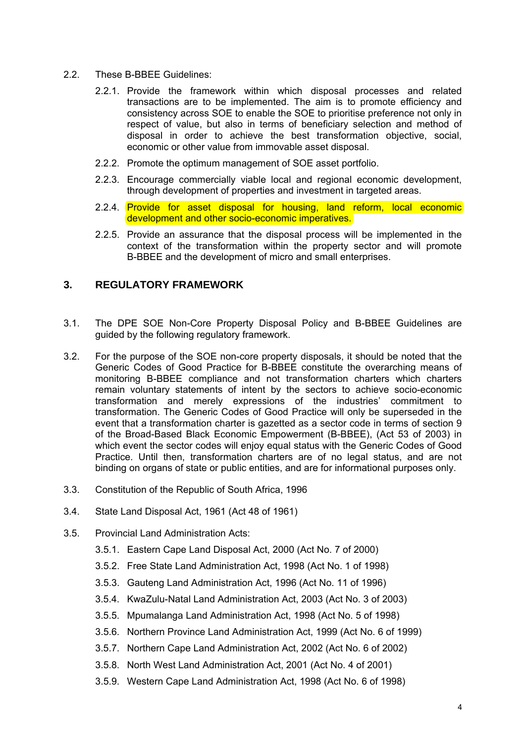- <span id="page-3-0"></span>2.2. These B-BBEE Guidelines:
	- 2.2.1. Provide the framework within which disposal processes and related transactions are to be implemented. The aim is to promote efficiency and consistency across SOE to enable the SOE to prioritise preference not only in respect of value, but also in terms of beneficiary selection and method of disposal in order to achieve the best transformation objective, social, economic or other value from immovable asset disposal.
	- 2.2.2. Promote the optimum management of SOE asset portfolio.
	- 2.2.3. Encourage commercially viable local and regional economic development, through development of properties and investment in targeted areas.
	- 2.2.4. Provide for asset disposal for housing, land reform, local economic development and other socio-economic imperatives.
	- 2.2.5. Provide an assurance that the disposal process will be implemented in the context of the transformation within the property sector and will promote B-BBEE and the development of micro and small enterprises.

## **3. REGULATORY FRAMEWORK**

- 3.1. The DPE SOE Non-Core Property Disposal Policy and B-BBEE Guidelines are guided by the following regulatory framework.
- 3.2. For the purpose of the SOE non-core property disposals, it should be noted that the Generic Codes of Good Practice for B-BBEE constitute the overarching means of monitoring B-BBEE compliance and not transformation charters which charters remain voluntary statements of intent by the sectors to achieve socio-economic transformation and merely expressions of the industries' commitment to transformation. The Generic Codes of Good Practice will only be superseded in the event that a transformation charter is gazetted as a sector code in terms of section 9 of the Broad-Based Black Economic Empowerment (B-BBEE), (Act 53 of 2003) in which event the sector codes will enjoy equal status with the Generic Codes of Good Practice. Until then, transformation charters are of no legal status, and are not binding on organs of state or public entities, and are for informational purposes only.
- 3.3. Constitution of the Republic of South Africa, 1996
- 3.4. State Land Disposal Act, 1961 (Act 48 of 1961)
- 3.5. Provincial Land Administration Acts:
	- 3.5.1. Eastern Cape Land Disposal Act, 2000 (Act No. 7 of 2000)
	- 3.5.2. Free State Land Administration Act, 1998 (Act No. 1 of 1998)
	- 3.5.3. Gauteng Land Administration Act, 1996 (Act No. 11 of 1996)
	- 3.5.4. KwaZulu-Natal Land Administration Act, 2003 (Act No. 3 of 2003)
	- 3.5.5. Mpumalanga Land Administration Act, 1998 (Act No. 5 of 1998)
	- 3.5.6. Northern Province Land Administration Act, 1999 (Act No. 6 of 1999)
	- 3.5.7. Northern Cape Land Administration Act, 2002 (Act No. 6 of 2002)
	- 3.5.8. North West Land Administration Act, 2001 (Act No. 4 of 2001)
	- 3.5.9. Western Cape Land Administration Act, 1998 (Act No. 6 of 1998)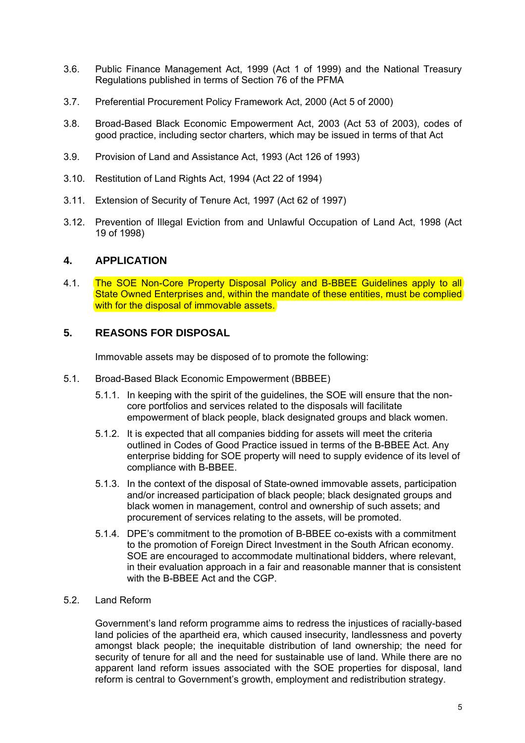- <span id="page-4-0"></span>3.6. Public Finance Management Act, 1999 (Act 1 of 1999) and the National Treasury Regulations published in terms of Section 76 of the PFMA
- 3.7. Preferential Procurement Policy Framework Act, 2000 (Act 5 of 2000)
- 3.8. Broad-Based Black Economic Empowerment Act, 2003 (Act 53 of 2003), codes of good practice, including sector charters, which may be issued in terms of that Act
- 3.9. Provision of Land and Assistance Act, 1993 (Act 126 of 1993)
- 3.10. Restitution of Land Rights Act, 1994 (Act 22 of 1994)
- 3.11. Extension of Security of Tenure Act, 1997 (Act 62 of 1997)
- 3.12. Prevention of Illegal Eviction from and Unlawful Occupation of Land Act, 1998 (Act 19 of 1998)

#### **4. APPLICATION**

4.1. The SOE Non-Core Property Disposal Policy and B-BBEE Guidelines apply to all State Owned Enterprises and, within the mandate of these entities, must be complied with for the disposal of immovable assets.

### **5. REASONS FOR DISPOSAL**

Immovable assets may be disposed of to promote the following:

- 5.1. Broad-Based Black Economic Empowerment (BBBEE)
	- 5.1.1. In keeping with the spirit of the guidelines, the SOE will ensure that the noncore portfolios and services related to the disposals will facilitate empowerment of black people, black designated groups and black women.
	- 5.1.2. It is expected that all companies bidding for assets will meet the criteria outlined in Codes of Good Practice issued in terms of the B-BBEE Act. Any enterprise bidding for SOE property will need to supply evidence of its level of compliance with B-BBEE.
	- 5.1.3. In the context of the disposal of State-owned immovable assets, participation and/or increased participation of black people; black designated groups and black women in management, control and ownership of such assets; and procurement of services relating to the assets, will be promoted.
	- 5.1.4. DPE's commitment to the promotion of B-BBEE co-exists with a commitment to the promotion of Foreign Direct Investment in the South African economy. SOE are encouraged to accommodate multinational bidders, where relevant, in their evaluation approach in a fair and reasonable manner that is consistent with the B-BBEE Act and the CGP.

#### 5.2. Land Reform

Government's land reform programme aims to redress the injustices of racially-based land policies of the apartheid era, which caused insecurity, landlessness and poverty amongst black people; the inequitable distribution of land ownership; the need for security of tenure for all and the need for sustainable use of land. While there are no apparent land reform issues associated with the SOE properties for disposal, land reform is central to Government's growth, employment and redistribution strategy.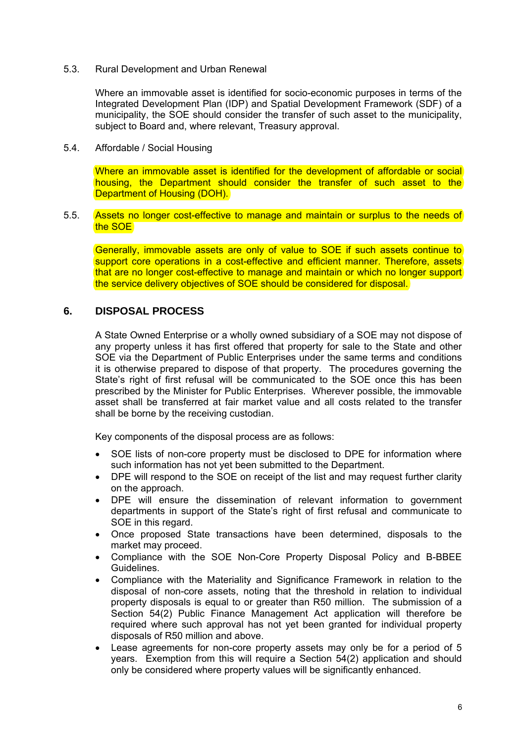<span id="page-5-0"></span>5.3. Rural Development and Urban Renewal

Where an immovable asset is identified for socio-economic purposes in terms of the Integrated Development Plan (IDP) and Spatial Development Framework (SDF) of a municipality, the SOE should consider the transfer of such asset to the municipality, subject to Board and, where relevant, Treasury approval.

5.4. Affordable / Social Housing

Where an immovable asset is identified for the development of affordable or social housing, the Department should consider the transfer of such asset to the Department of Housing (DOH).

5.5. Assets no longer cost-effective to manage and maintain or surplus to the needs of the SOE

Generally, immovable assets are only of value to SOE if such assets continue to support core operations in a cost-effective and efficient manner. Therefore, assets that are no longer cost-effective to manage and maintain or which no longer support the service delivery objectives of SOE should be considered for disposal.

#### **6. DISPOSAL PROCESS**

A State Owned Enterprise or a wholly owned subsidiary of a SOE may not dispose of any property unless it has first offered that property for sale to the State and other SOE via the Department of Public Enterprises under the same terms and conditions it is otherwise prepared to dispose of that property. The procedures governing the State's right of first refusal will be communicated to the SOE once this has been prescribed by the Minister for Public Enterprises. Wherever possible, the immovable asset shall be transferred at fair market value and all costs related to the transfer shall be borne by the receiving custodian.

Key components of the disposal process are as follows:

- SOE lists of non-core property must be disclosed to DPE for information where such information has not yet been submitted to the Department.
- DPE will respond to the SOE on receipt of the list and may request further clarity on the approach.
- DPE will ensure the dissemination of relevant information to government departments in support of the State's right of first refusal and communicate to SOE in this regard.
- Once proposed State transactions have been determined, disposals to the market may proceed.
- Compliance with the SOE Non-Core Property Disposal Policy and B-BBEE Guidelines.
- Compliance with the Materiality and Significance Framework in relation to the disposal of non-core assets, noting that the threshold in relation to individual property disposals is equal to or greater than R50 million. The submission of a Section 54(2) Public Finance Management Act application will therefore be required where such approval has not yet been granted for individual property disposals of R50 million and above.
- Lease agreements for non-core property assets may only be for a period of 5 years. Exemption from this will require a Section 54(2) application and should only be considered where property values will be significantly enhanced.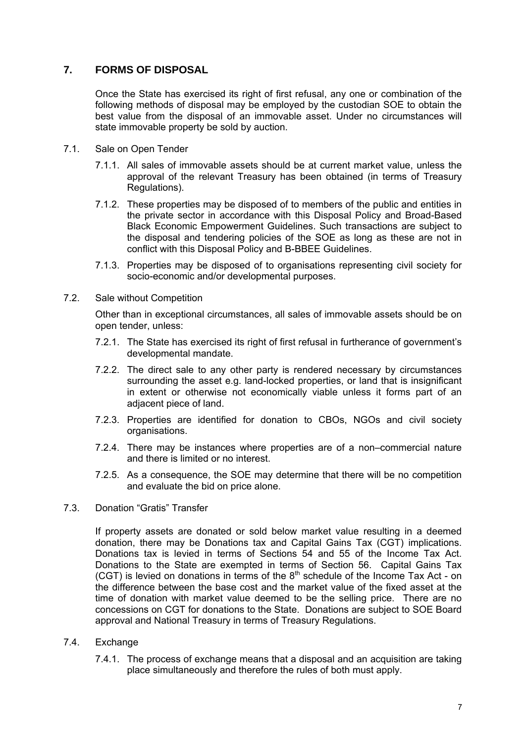## <span id="page-6-0"></span>**7. FORMS OF DISPOSAL**

Once the State has exercised its right of first refusal, any one or combination of the following methods of disposal may be employed by the custodian SOE to obtain the best value from the disposal of an immovable asset. Under no circumstances will state immovable property be sold by auction.

- 7.1. Sale on Open Tender
	- 7.1.1. All sales of immovable assets should be at current market value, unless the approval of the relevant Treasury has been obtained (in terms of Treasury Regulations).
	- 7.1.2. These properties may be disposed of to members of the public and entities in the private sector in accordance with this Disposal Policy and Broad-Based Black Economic Empowerment Guidelines. Such transactions are subject to the disposal and tendering policies of the SOE as long as these are not in conflict with this Disposal Policy and B-BBEE Guidelines.
	- 7.1.3. Properties may be disposed of to organisations representing civil society for socio-economic and/or developmental purposes.
- 7.2. Sale without Competition

Other than in exceptional circumstances, all sales of immovable assets should be on open tender, unless:

- 7.2.1. The State has exercised its right of first refusal in furtherance of government's developmental mandate.
- 7.2.2. The direct sale to any other party is rendered necessary by circumstances surrounding the asset e.g. land-locked properties, or land that is insignificant in extent or otherwise not economically viable unless it forms part of an adjacent piece of land.
- 7.2.3. Properties are identified for donation to CBOs, NGOs and civil society organisations.
- 7.2.4. There may be instances where properties are of a non–commercial nature and there is limited or no interest.
- 7.2.5. As a consequence, the SOE may determine that there will be no competition and evaluate the bid on price alone.
- 7.3. Donation "Gratis" Transfer

If property assets are donated or sold below market value resulting in a deemed donation, there may be Donations tax and Capital Gains Tax (CGT) implications. Donations tax is levied in terms of Sections 54 and 55 of the Income Tax Act. Donations to the State are exempted in terms of Section 56. Capital Gains Tax (CGT) is levied on donations in terms of the  $8<sup>th</sup>$  schedule of the Income Tax Act - on the difference between the base cost and the market value of the fixed asset at the time of donation with market value deemed to be the selling price. There are no concessions on CGT for donations to the State. Donations are subject to SOE Board approval and National Treasury in terms of Treasury Regulations.

- 7.4. Exchange
	- 7.4.1. The process of exchange means that a disposal and an acquisition are taking place simultaneously and therefore the rules of both must apply.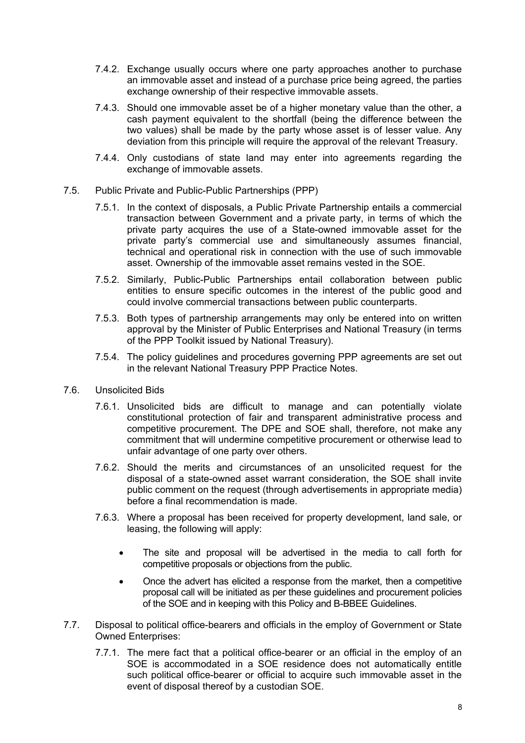- 7.4.2. Exchange usually occurs where one party approaches another to purchase an immovable asset and instead of a purchase price being agreed, the parties exchange ownership of their respective immovable assets.
- 7.4.3. Should one immovable asset be of a higher monetary value than the other, a cash payment equivalent to the shortfall (being the difference between the two values) shall be made by the party whose asset is of lesser value. Any deviation from this principle will require the approval of the relevant Treasury.
- 7.4.4. Only custodians of state land may enter into agreements regarding the exchange of immovable assets.
- 7.5. Public Private and Public-Public Partnerships (PPP)
	- 7.5.1. In the context of disposals, a Public Private Partnership entails a commercial transaction between Government and a private party, in terms of which the private party acquires the use of a State-owned immovable asset for the private party's commercial use and simultaneously assumes financial, technical and operational risk in connection with the use of such immovable asset. Ownership of the immovable asset remains vested in the SOE.
	- 7.5.2. Similarly, Public-Public Partnerships entail collaboration between public entities to ensure specific outcomes in the interest of the public good and could involve commercial transactions between public counterparts.
	- 7.5.3. Both types of partnership arrangements may only be entered into on written approval by the Minister of Public Enterprises and National Treasury (in terms of the PPP Toolkit issued by National Treasury).
	- 7.5.4. The policy guidelines and procedures governing PPP agreements are set out in the relevant National Treasury PPP Practice Notes.
- 7.6. Unsolicited Bids
	- 7.6.1. Unsolicited bids are difficult to manage and can potentially violate constitutional protection of fair and transparent administrative process and competitive procurement. The DPE and SOE shall, therefore, not make any commitment that will undermine competitive procurement or otherwise lead to unfair advantage of one party over others.
	- 7.6.2. Should the merits and circumstances of an unsolicited request for the disposal of a state-owned asset warrant consideration, the SOE shall invite public comment on the request (through advertisements in appropriate media) before a final recommendation is made.
	- 7.6.3. Where a proposal has been received for property development, land sale, or leasing, the following will apply:
		- The site and proposal will be advertised in the media to call forth for competitive proposals or objections from the public.
		- Once the advert has elicited a response from the market, then a competitive proposal call will be initiated as per these guidelines and procurement policies of the SOE and in keeping with this Policy and B-BBEE Guidelines.
- 7.7. Disposal to political office-bearers and officials in the employ of Government or State Owned Enterprises:
	- 7.7.1. The mere fact that a political office-bearer or an official in the employ of an SOE is accommodated in a SOE residence does not automatically entitle such political office-bearer or official to acquire such immovable asset in the event of disposal thereof by a custodian SOE.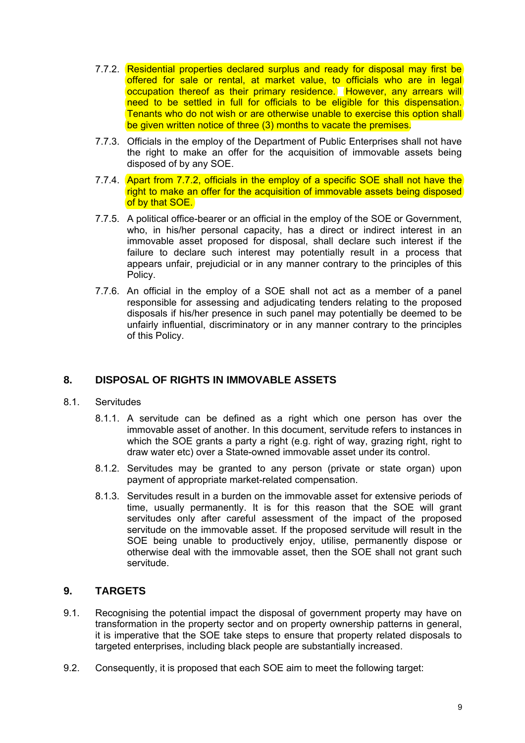- <span id="page-8-0"></span>7.7.2. Residential properties declared surplus and ready for disposal may first be offered for sale or rental, at market value, to officials who are in legal occupation thereof as their primary residence. However, any arrears will need to be settled in full for officials to be eligible for this dispensation. Tenants who do not wish or are otherwise unable to exercise this option shall be given written notice of three (3) months to vacate the premises.
- 7.7.3. Officials in the employ of the Department of Public Enterprises shall not have the right to make an offer for the acquisition of immovable assets being disposed of by any SOE.
- 7.7.4. Apart from 7.7.2, officials in the employ of a specific SOE shall not have the right to make an offer for the acquisition of immovable assets being disposed of by that SOE.
- 7.7.5. A political office-bearer or an official in the employ of the SOE or Government, who, in his/her personal capacity, has a direct or indirect interest in an immovable asset proposed for disposal, shall declare such interest if the failure to declare such interest may potentially result in a process that appears unfair, prejudicial or in any manner contrary to the principles of this Policy.
- 7.7.6. An official in the employ of a SOE shall not act as a member of a panel responsible for assessing and adjudicating tenders relating to the proposed disposals if his/her presence in such panel may potentially be deemed to be unfairly influential, discriminatory or in any manner contrary to the principles of this Policy.

## **8. DISPOSAL OF RIGHTS IN IMMOVABLE ASSETS**

- 8.1. Servitudes
	- 8.1.1. A servitude can be defined as a right which one person has over the immovable asset of another. In this document, servitude refers to instances in which the SOE grants a party a right (e.g. right of way, grazing right, right to draw water etc) over a State-owned immovable asset under its control.
	- 8.1.2. Servitudes may be granted to any person (private or state organ) upon payment of appropriate market-related compensation.
	- 8.1.3. Servitudes result in a burden on the immovable asset for extensive periods of time, usually permanently. It is for this reason that the SOE will grant servitudes only after careful assessment of the impact of the proposed servitude on the immovable asset. If the proposed servitude will result in the SOE being unable to productively enjoy, utilise, permanently dispose or otherwise deal with the immovable asset, then the SOE shall not grant such servitude.

## **9. TARGETS**

- 9.1. Recognising the potential impact the disposal of government property may have on transformation in the property sector and on property ownership patterns in general, it is imperative that the SOE take steps to ensure that property related disposals to targeted enterprises, including black people are substantially increased.
- 9.2. Consequently, it is proposed that each SOE aim to meet the following target: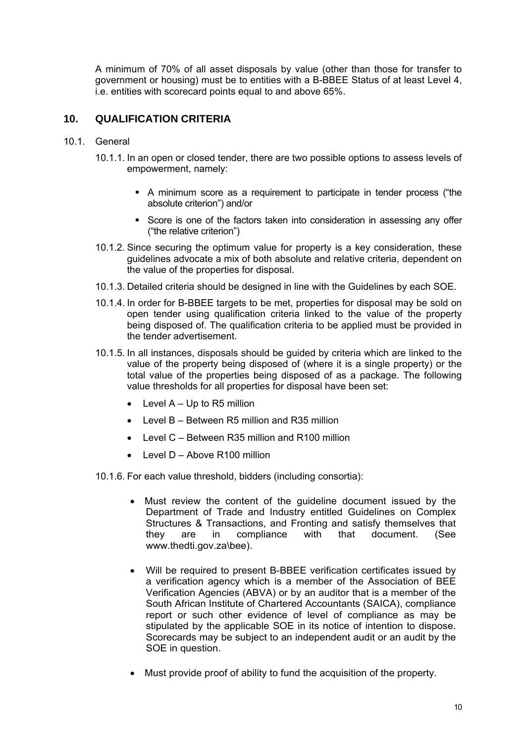<span id="page-9-0"></span>A minimum of 70% of all asset disposals by value (other than those for transfer to government or housing) must be to entities with a B-BBEE Status of at least Level 4, i.e. entities with scorecard points equal to and above 65%.

## **10. QUALIFICATION CRITERIA**

- 10.1. General
	- 10.1.1. In an open or closed tender, there are two possible options to assess levels of empowerment, namely:
		- A minimum score as a requirement to participate in tender process ("the absolute criterion") and/or
		- Score is one of the factors taken into consideration in assessing any offer ("the relative criterion")
	- 10.1.2. Since securing the optimum value for property is a key consideration, these guidelines advocate a mix of both absolute and relative criteria, dependent on the value of the properties for disposal.
	- 10.1.3. Detailed criteria should be designed in line with the Guidelines by each SOE.
	- 10.1.4. In order for B-BBEE targets to be met, properties for disposal may be sold on open tender using qualification criteria linked to the value of the property being disposed of. The qualification criteria to be applied must be provided in the tender advertisement.
	- 10.1.5. In all instances, disposals should be guided by criteria which are linked to the value of the property being disposed of (where it is a single property) or the total value of the properties being disposed of as a package. The following value thresholds for all properties for disposal have been set:
		- $\bullet$  Level A Up to R5 million
		- Level B Between R5 million and R35 million
		- Level C Between R35 million and R100 million
		- Level D Above R100 million
	- 10.1.6. For each value threshold, bidders (including consortia):
		- Must review the content of the guideline document issued by the Department of Trade and Industry entitled Guidelines on Complex Structures & Transactions, and Fronting and satisfy themselves that they are in compliance with that document. (See www.thedti.gov.za\bee).
		- Will be required to present B-BBEE verification certificates issued by a verification agency which is a member of the Association of BEE Verification Agencies (ABVA) or by an auditor that is a member of the South African Institute of Chartered Accountants (SAICA), compliance report or such other evidence of level of compliance as may be stipulated by the applicable SOE in its notice of intention to dispose. Scorecards may be subject to an independent audit or an audit by the SOE in question.
		- Must provide proof of ability to fund the acquisition of the property.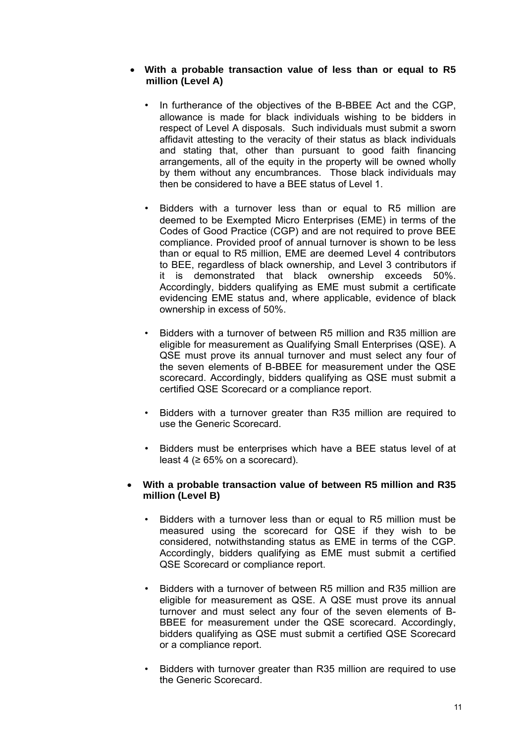#### • **With a probable transaction value of less than or equal to R5 million (Level A)**

- In furtherance of the objectives of the B-BBEE Act and the CGP, allowance is made for black individuals wishing to be bidders in respect of Level A disposals. Such individuals must submit a sworn affidavit attesting to the veracity of their status as black individuals and stating that, other than pursuant to good faith financing arrangements, all of the equity in the property will be owned wholly by them without any encumbrances. Those black individuals may then be considered to have a BEE status of Level 1.
- Bidders with a turnover less than or equal to R5 million are deemed to be Exempted Micro Enterprises (EME) in terms of the Codes of Good Practice (CGP) and are not required to prove BEE compliance. Provided proof of annual turnover is shown to be less than or equal to R5 million, EME are deemed Level 4 contributors to BEE, regardless of black ownership, and Level 3 contributors if it is demonstrated that black ownership exceeds 50%. Accordingly, bidders qualifying as EME must submit a certificate evidencing EME status and, where applicable, evidence of black ownership in excess of 50%.
- Bidders with a turnover of between R5 million and R35 million are eligible for measurement as Qualifying Small Enterprises (QSE). A QSE must prove its annual turnover and must select any four of the seven elements of B-BBEE for measurement under the QSE scorecard. Accordingly, bidders qualifying as QSE must submit a certified QSE Scorecard or a compliance report.
- Bidders with a turnover greater than R35 million are required to use the Generic Scorecard.
- Bidders must be enterprises which have a BEE status level of at least 4 ( $\geq 65\%$  on a scorecard).

#### • **With a probable transaction value of between R5 million and R35 million (Level B)**

- Bidders with a turnover less than or equal to R5 million must be measured using the scorecard for QSE if they wish to be considered, notwithstanding status as EME in terms of the CGP. Accordingly, bidders qualifying as EME must submit a certified QSE Scorecard or compliance report.
- Bidders with a turnover of between R5 million and R35 million are eligible for measurement as QSE. A QSE must prove its annual turnover and must select any four of the seven elements of B-BBEE for measurement under the QSE scorecard. Accordingly, bidders qualifying as QSE must submit a certified QSE Scorecard or a compliance report.
- Bidders with turnover greater than R35 million are required to use the Generic Scorecard.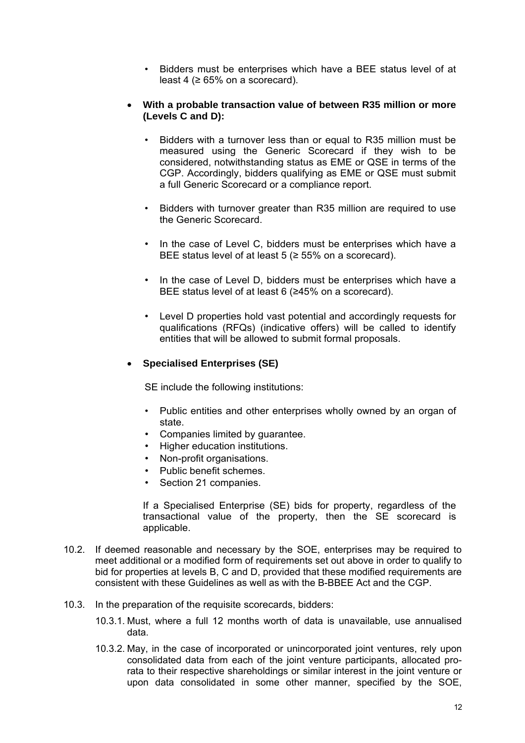• Bidders must be enterprises which have a BEE status level of at least 4 ( $\geq 65\%$  on a scorecard).

#### • **With a probable transaction value of between R35 million or more (Levels C and D):**

- Bidders with a turnover less than or equal to R35 million must be measured using the Generic Scorecard if they wish to be considered, notwithstanding status as EME or QSE in terms of the CGP. Accordingly, bidders qualifying as EME or QSE must submit a full Generic Scorecard or a compliance report.
- Bidders with turnover greater than R35 million are required to use the Generic Scorecard.
- In the case of Level C, bidders must be enterprises which have a BEE status level of at least  $5 \approx 55\%$  on a scorecard).
- In the case of Level D, bidders must be enterprises which have a BEE status level of at least 6 (≥45% on a scorecard).
- Level D properties hold vast potential and accordingly requests for qualifications (RFQs) (indicative offers) will be called to identify entities that will be allowed to submit formal proposals.

## • **Specialised Enterprises (SE)**

SE include the following institutions:

- Public entities and other enterprises wholly owned by an organ of state.
- Companies limited by guarantee.
- Higher education institutions.
- Non-profit organisations.
- Public benefit schemes.
- Section 21 companies.

If a Specialised Enterprise (SE) bids for property, regardless of the transactional value of the property, then the SE scorecard is applicable.

- 10.2. If deemed reasonable and necessary by the SOE, enterprises may be required to meet additional or a modified form of requirements set out above in order to qualify to bid for properties at levels B, C and D, provided that these modified requirements are consistent with these Guidelines as well as with the B-BBEE Act and the CGP.
- 10.3. In the preparation of the requisite scorecards, bidders:
	- 10.3.1. Must, where a full 12 months worth of data is unavailable, use annualised data.
	- 10.3.2. May, in the case of incorporated or unincorporated joint ventures, rely upon consolidated data from each of the joint venture participants, allocated prorata to their respective shareholdings or similar interest in the joint venture or upon data consolidated in some other manner, specified by the SOE,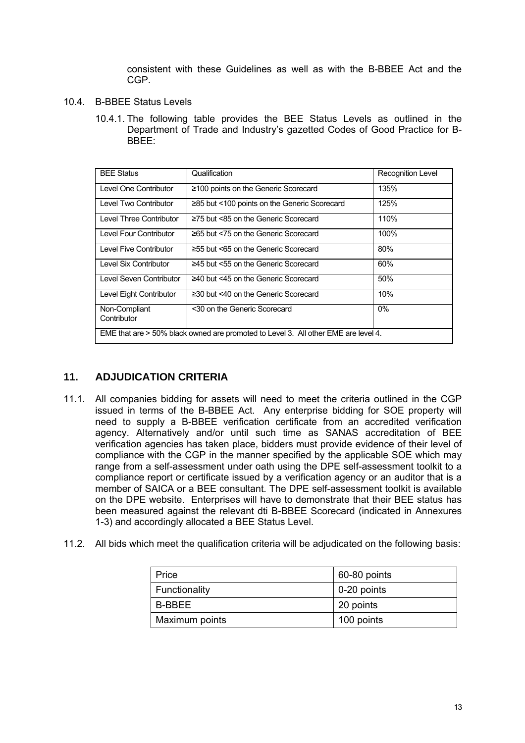consistent with these Guidelines as well as with the B-BBEE Act and the CGP.

- <span id="page-12-0"></span>10.4. B-BBEE Status Levels
	- 10.4.1. The following table provides the BEE Status Levels as outlined in the Department of Trade and Industry's gazetted Codes of Good Practice for B-BBEE:

| <b>BEE Status</b>                                                                  | Qualification                                | <b>Recognition Level</b> |  |  |  |
|------------------------------------------------------------------------------------|----------------------------------------------|--------------------------|--|--|--|
| Level One Contributor                                                              | ≥100 points on the Generic Scorecard         | 135%                     |  |  |  |
| Level Two Contributor                                                              | ≥85 but <100 points on the Generic Scorecard | 125%                     |  |  |  |
| Level Three Contributor                                                            | $\geq$ 75 but <85 on the Generic Scorecard   | 110%                     |  |  |  |
| Level Four Contributor                                                             | ≥65 but <75 on the Generic Scorecard         | 100%                     |  |  |  |
| Level Five Contributor                                                             | ≥55 but <65 on the Generic Scorecard         | 80%                      |  |  |  |
| Level Six Contributor                                                              | ≥45 but <55 on the Generic Scorecard         | 60%                      |  |  |  |
| Level Seven Contributor                                                            | ≥40 but <45 on the Generic Scorecard         | 50%                      |  |  |  |
| Level Eight Contributor                                                            | $\geq$ 30 but <40 on the Generic Scorecard   | 10%                      |  |  |  |
| Non-Compliant<br>Contributor                                                       | <30 on the Generic Scorecard                 | $0\%$                    |  |  |  |
| EME that are > 50% black owned are promoted to Level 3. All other EME are level 4. |                                              |                          |  |  |  |

## **11. ADJUDICATION CRITERIA**

- 11.1. All companies bidding for assets will need to meet the criteria outlined in the CGP issued in terms of the B-BBEE Act. Any enterprise bidding for SOE property will need to supply a B-BBEE verification certificate from an accredited verification agency. Alternatively and/or until such time as SANAS accreditation of BEE verification agencies has taken place, bidders must provide evidence of their level of compliance with the CGP in the manner specified by the applicable SOE which may range from a self-assessment under oath using the DPE self-assessment toolkit to a compliance report or certificate issued by a verification agency or an auditor that is a member of SAICA or a BEE consultant. The DPE self-assessment toolkit is available on the DPE website. Enterprises will have to demonstrate that their BEE status has been measured against the relevant dti B-BBEE Scorecard (indicated in Annexures 1-3) and accordingly allocated a BEE Status Level.
- 11.2. All bids which meet the qualification criteria will be adjudicated on the following basis:

| Price          | 60-80 points |  |  |
|----------------|--------------|--|--|
| Functionality  | 0-20 points  |  |  |
| B-BBEE         | 20 points    |  |  |
| Maximum points | 100 points   |  |  |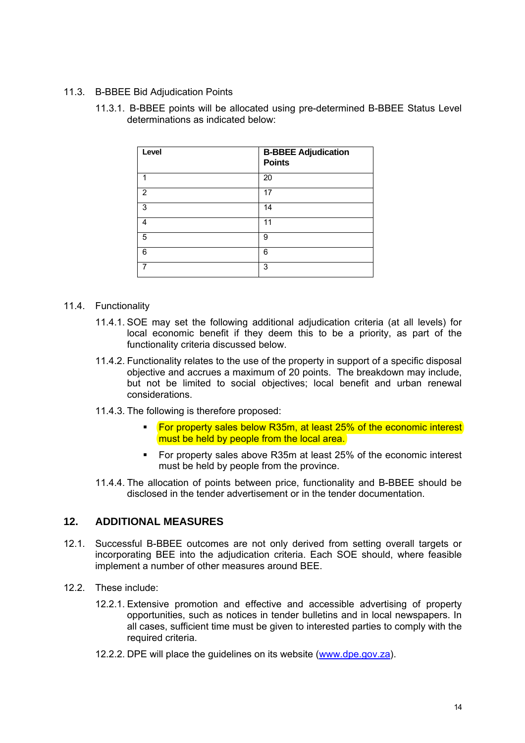#### <span id="page-13-0"></span>11.3. B-BBEE Bid Adjudication Points

11.3.1. B-BBEE points will be allocated using pre-determined B-BBEE Status Level determinations as indicated below:

| Level | <b>B-BBEE Adjudication</b><br><b>Points</b> |
|-------|---------------------------------------------|
|       | 20                                          |
| 2     | 17                                          |
| 3     | 14                                          |
| 4     | 11                                          |
| 5     | 9                                           |
| 6     | 6                                           |
|       | 3                                           |

#### 11.4. Functionality

- 11.4.1. SOE may set the following additional adjudication criteria (at all levels) for local economic benefit if they deem this to be a priority, as part of the functionality criteria discussed below.
- 11.4.2. Functionality relates to the use of the property in support of a specific disposal objective and accrues a maximum of 20 points. The breakdown may include, but not be limited to social objectives; local benefit and urban renewal considerations.
- 11.4.3. The following is therefore proposed:
	- For property sales below R35m, at least 25% of the economic interest must be held by people from the local area.
	- For property sales above R35m at least 25% of the economic interest must be held by people from the province.
- 11.4.4. The allocation of points between price, functionality and B-BBEE should be disclosed in the tender advertisement or in the tender documentation.

#### **12. ADDITIONAL MEASURES**

- 12.1. Successful B-BBEE outcomes are not only derived from setting overall targets or incorporating BEE into the adjudication criteria. Each SOE should, where feasible implement a number of other measures around BEE.
- 12.2. These include:
	- 12.2.1. Extensive promotion and effective and accessible advertising of property opportunities, such as notices in tender bulletins and in local newspapers. In all cases, sufficient time must be given to interested parties to comply with the required criteria.
	- 12.2.2. DPE will place the guidelines on its website ([www.dpe.gov.za](http://www.dpe.gov.za/)).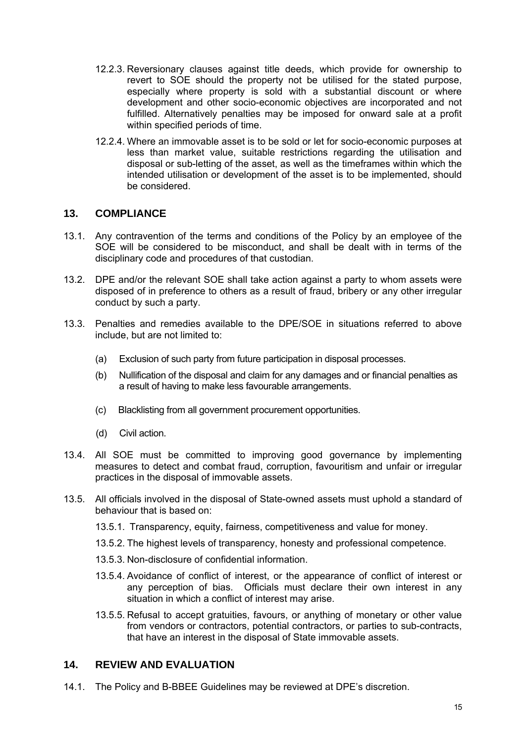- <span id="page-14-0"></span>12.2.3. Reversionary clauses against title deeds, which provide for ownership to revert to SOE should the property not be utilised for the stated purpose, especially where property is sold with a substantial discount or where development and other socio-economic objectives are incorporated and not fulfilled. Alternatively penalties may be imposed for onward sale at a profit within specified periods of time.
- 12.2.4. Where an immovable asset is to be sold or let for socio-economic purposes at less than market value, suitable restrictions regarding the utilisation and disposal or sub-letting of the asset, as well as the timeframes within which the intended utilisation or development of the asset is to be implemented, should be considered.

#### **13. COMPLIANCE**

- 13.1. Any contravention of the terms and conditions of the Policy by an employee of the SOE will be considered to be misconduct, and shall be dealt with in terms of the disciplinary code and procedures of that custodian.
- 13.2. DPE and/or the relevant SOE shall take action against a party to whom assets were disposed of in preference to others as a result of fraud, bribery or any other irregular conduct by such a party.
- 13.3. Penalties and remedies available to the DPE/SOE in situations referred to above include, but are not limited to:
	- (a) Exclusion of such party from future participation in disposal processes.
	- (b) Nullification of the disposal and claim for any damages and or financial penalties as a result of having to make less favourable arrangements.
	- (c) Blacklisting from all government procurement opportunities.
	- (d) Civil action.
- 13.4. All SOE must be committed to improving good governance by implementing measures to detect and combat fraud, corruption, favouritism and unfair or irregular practices in the disposal of immovable assets.
- 13.5. All officials involved in the disposal of State-owned assets must uphold a standard of behaviour that is based on:
	- 13.5.1. Transparency, equity, fairness, competitiveness and value for money.
	- 13.5.2. The highest levels of transparency, honesty and professional competence.
	- 13.5.3. Non-disclosure of confidential information.
	- 13.5.4. Avoidance of conflict of interest, or the appearance of conflict of interest or any perception of bias. Officials must declare their own interest in any situation in which a conflict of interest may arise.
	- 13.5.5. Refusal to accept gratuities, favours, or anything of monetary or other value from vendors or contractors, potential contractors, or parties to sub-contracts, that have an interest in the disposal of State immovable assets.

## **14. REVIEW AND EVALUATION**

14.1. The Policy and B-BBEE Guidelines may be reviewed at DPE's discretion.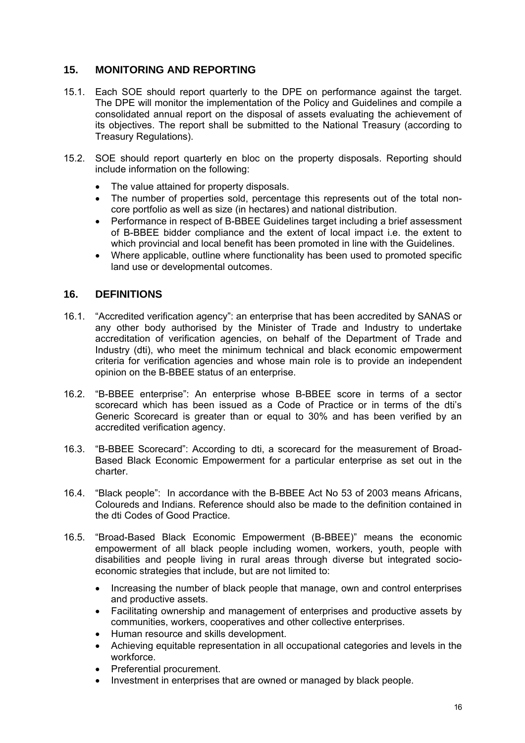## <span id="page-15-0"></span>**15. MONITORING AND REPORTING**

- 15.1. Each SOE should report quarterly to the DPE on performance against the target. The DPE will monitor the implementation of the Policy and Guidelines and compile a consolidated annual report on the disposal of assets evaluating the achievement of its objectives. The report shall be submitted to the National Treasury (according to Treasury Regulations).
- 15.2. SOE should report quarterly en bloc on the property disposals. Reporting should include information on the following:
	- The value attained for property disposals.
	- The number of properties sold, percentage this represents out of the total noncore portfolio as well as size (in hectares) and national distribution.
	- Performance in respect of B-BBEE Guidelines target including a brief assessment of B-BBEE bidder compliance and the extent of local impact i.e. the extent to which provincial and local benefit has been promoted in line with the Guidelines.
	- Where applicable, outline where functionality has been used to promoted specific land use or developmental outcomes.

## **16. DEFINITIONS**

- 16.1. "Accredited verification agency": an enterprise that has been accredited by SANAS or any other body authorised by the Minister of Trade and Industry to undertake accreditation of verification agencies, on behalf of the Department of Trade and Industry (dti), who meet the minimum technical and black economic empowerment criteria for verification agencies and whose main role is to provide an independent opinion on the B-BBEE status of an enterprise.
- 16.2. "B-BBEE enterprise": An enterprise whose B-BBEE score in terms of a sector scorecard which has been issued as a Code of Practice or in terms of the dti's Generic Scorecard is greater than or equal to 30% and has been verified by an accredited verification agency.
- 16.3. "B-BBEE Scorecard": According to dti, a scorecard for the measurement of Broad-Based Black Economic Empowerment for a particular enterprise as set out in the charter.
- 16.4. "Black people": In accordance with the B-BBEE Act No 53 of 2003 means Africans, Coloureds and Indians. Reference should also be made to the definition contained in the dti Codes of Good Practice.
- 16.5. "Broad-Based Black Economic Empowerment (B-BBEE)" means the economic empowerment of all black people including women, workers, youth, people with disabilities and people living in rural areas through diverse but integrated socioeconomic strategies that include, but are not limited to:
	- Increasing the number of black people that manage, own and control enterprises and productive assets.
	- Facilitating ownership and management of enterprises and productive assets by communities, workers, cooperatives and other collective enterprises.
	- Human resource and skills development.
	- Achieving equitable representation in all occupational categories and levels in the workforce.
	- Preferential procurement.
	- Investment in enterprises that are owned or managed by black people.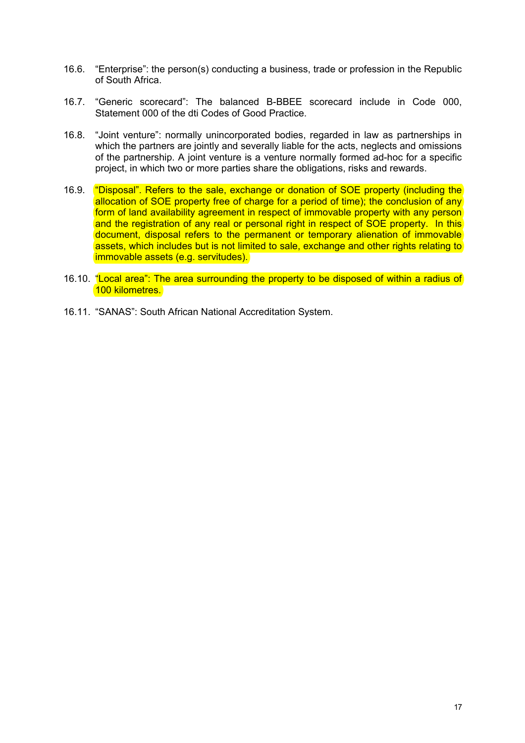- 16.6. "Enterprise": the person(s) conducting a business, trade or profession in the Republic of South Africa.
- 16.7. "Generic scorecard": The balanced B-BBEE scorecard include in Code 000, Statement 000 of the dti Codes of Good Practice.
- 16.8. "Joint venture": normally unincorporated bodies, regarded in law as partnerships in which the partners are jointly and severally liable for the acts, neglects and omissions of the partnership. A joint venture is a venture normally formed ad-hoc for a specific project, in which two or more parties share the obligations, risks and rewards.
- 16.9. "Disposal". Refers to the sale, exchange or donation of SOE property (including the allocation of SOE property free of charge for a period of time); the conclusion of any form of land availability agreement in respect of immovable property with any person and the registration of any real or personal right in respect of SOE property. In this document, disposal refers to the permanent or temporary alienation of immovable assets, which includes but is not limited to sale, exchange and other rights relating to immovable assets (e.g. servitudes).
- 16.10. "Local area": The area surrounding the property to be disposed of within a radius of 100 kilometres.
- 16.11. "SANAS": South African National Accreditation System.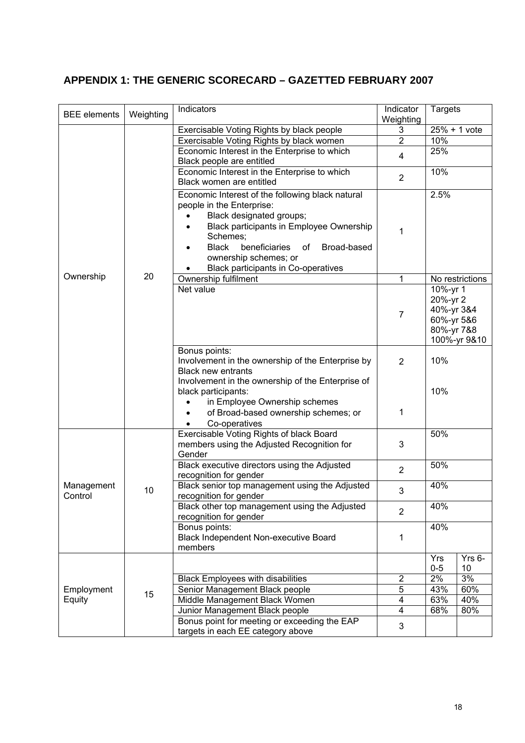## <span id="page-17-0"></span>**APPENDIX 1: THE GENERIC SCORECARD – GAZETTED FEBRUARY 2007**

| <b>BEE</b> elements  | Weighting | Indicators                                                                 | Indicator                    | <b>Targets</b>           |                 |
|----------------------|-----------|----------------------------------------------------------------------------|------------------------------|--------------------------|-----------------|
|                      |           |                                                                            | Weighting                    |                          |                 |
|                      |           | Exercisable Voting Rights by black people                                  | 3                            | $25% + 1$ vote           |                 |
|                      |           | Exercisable Voting Rights by black women                                   | $\overline{2}$               | 10%                      |                 |
|                      |           | Economic Interest in the Enterprise to which                               | 4                            | 25%                      |                 |
|                      |           | Black people are entitled                                                  |                              |                          |                 |
|                      |           | Economic Interest in the Enterprise to which                               | $\overline{2}$               | 10%                      |                 |
|                      |           | Black women are entitled                                                   |                              |                          |                 |
|                      |           | Economic Interest of the following black natural                           |                              | 2.5%                     |                 |
|                      |           | people in the Enterprise:                                                  |                              |                          |                 |
|                      |           | Black designated groups;                                                   |                              |                          |                 |
|                      |           | Black participants in Employee Ownership                                   | 1                            |                          |                 |
|                      |           | Schemes;                                                                   |                              |                          |                 |
|                      |           | <b>Black</b><br>beneficiaries<br>Broad-based<br>of                         |                              |                          |                 |
|                      |           | ownership schemes; or                                                      |                              |                          |                 |
| Ownership            | 20        | <b>Black participants in Co-operatives</b>                                 |                              |                          |                 |
|                      |           | Ownership fulfilment                                                       | 1                            |                          | No restrictions |
|                      |           | Net value                                                                  |                              | 10%-yr 1                 |                 |
|                      |           |                                                                            |                              | 20%-yr 2                 |                 |
|                      |           |                                                                            | $\overline{7}$               | 40%-yr 3&4<br>60%-yr 5&6 |                 |
|                      |           |                                                                            |                              | 80%-yr 7&8               |                 |
|                      |           |                                                                            |                              |                          | 100%-yr 9&10    |
|                      |           | Bonus points:                                                              |                              |                          |                 |
|                      |           | Involvement in the ownership of the Enterprise by                          | $\overline{2}$               | 10%                      |                 |
|                      |           | <b>Black new entrants</b>                                                  |                              |                          |                 |
|                      |           | Involvement in the ownership of the Enterprise of                          |                              |                          |                 |
|                      |           | black participants:                                                        |                              | 10%                      |                 |
|                      |           | in Employee Ownership schemes                                              |                              |                          |                 |
|                      |           | of Broad-based ownership schemes; or                                       | 1                            |                          |                 |
|                      |           | Co-operatives                                                              |                              |                          |                 |
|                      |           | Exercisable Voting Rights of black Board                                   |                              | 50%                      |                 |
|                      |           | members using the Adjusted Recognition for                                 | 3                            |                          |                 |
|                      |           | Gender                                                                     |                              |                          |                 |
|                      |           | Black executive directors using the Adjusted                               | $\overline{2}$               | 50%                      |                 |
|                      |           | recognition for gender                                                     |                              |                          |                 |
| Management           | 10        | Black senior top management using the Adjusted                             | 3                            | 40%                      |                 |
| Control              |           | recognition for gender                                                     |                              |                          |                 |
|                      |           | Black other top management using the Adjusted                              | $\overline{2}$               | 40%                      |                 |
|                      |           | recognition for gender                                                     |                              |                          |                 |
|                      |           | Bonus points:                                                              |                              | 40%                      |                 |
|                      |           | Black Independent Non-executive Board                                      | 1                            |                          |                 |
|                      |           | members                                                                    |                              |                          |                 |
|                      |           |                                                                            |                              | Yrs                      | Yrs 6-          |
|                      |           |                                                                            |                              | $0-5$<br>2%              | 10<br>3%        |
|                      | 15        | <b>Black Employees with disabilities</b><br>Senior Management Black people | $\overline{\mathbf{c}}$<br>5 | 43%                      | 60%             |
| Employment<br>Equity |           | Middle Management Black Women                                              | $\overline{4}$               | 63%                      | 40%             |
|                      |           | Junior Management Black people                                             | $\overline{4}$               | 68%                      | 80%             |
|                      |           | Bonus point for meeting or exceeding the EAP                               |                              |                          |                 |
|                      |           | targets in each EE category above                                          | 3                            |                          |                 |
|                      |           |                                                                            |                              |                          |                 |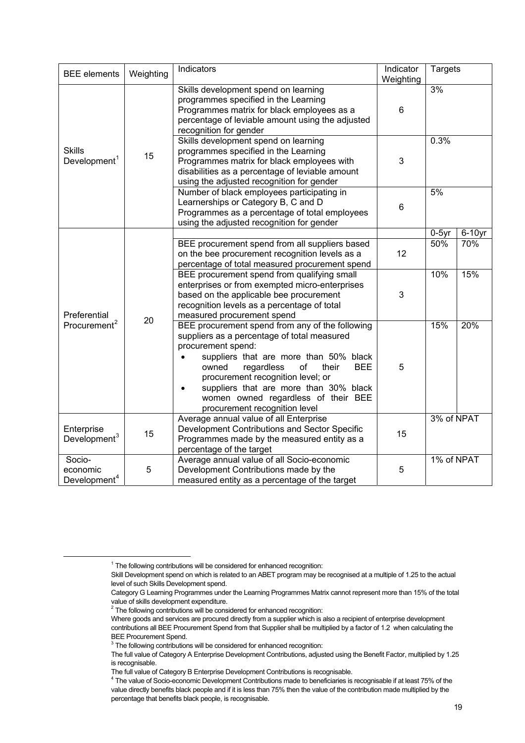| <b>BEE</b> elements                            | Weighting | Indicators                                                                                                                                                                                                                                                                                                                                                                             | Indicator<br>Weighting | <b>Targets</b>  |                  |
|------------------------------------------------|-----------|----------------------------------------------------------------------------------------------------------------------------------------------------------------------------------------------------------------------------------------------------------------------------------------------------------------------------------------------------------------------------------------|------------------------|-----------------|------------------|
|                                                |           | Skills development spend on learning<br>programmes specified in the Learning<br>Programmes matrix for black employees as a<br>percentage of leviable amount using the adjusted<br>recognition for gender                                                                                                                                                                               | 6                      | 3%              |                  |
| <b>Skills</b><br>Development <sup>1</sup>      | 15        | Skills development spend on learning<br>programmes specified in the Learning<br>Programmes matrix for black employees with<br>disabilities as a percentage of leviable amount<br>using the adjusted recognition for gender                                                                                                                                                             | 3                      | 0.3%            |                  |
|                                                |           | Number of black employees participating in<br>Learnerships or Category B, C and D<br>Programmes as a percentage of total employees<br>using the adjusted recognition for gender                                                                                                                                                                                                        | 6                      | 5%              |                  |
|                                                | 20        | BEE procurement spend from all suppliers based<br>on the bee procurement recognition levels as a<br>percentage of total measured procurement spend                                                                                                                                                                                                                                     | 12                     | $0-5$ yr<br>50% | $6-10$ yr<br>70% |
| Preferential                                   |           | BEE procurement spend from qualifying small<br>enterprises or from exempted micro-enterprises<br>based on the applicable bee procurement<br>recognition levels as a percentage of total<br>measured procurement spend                                                                                                                                                                  | 3                      | 10%             | 15%              |
| Procurement <sup>2</sup>                       |           | BEE procurement spend from any of the following<br>suppliers as a percentage of total measured<br>procurement spend:<br>suppliers that are more than 50% black<br>owned<br>regardless<br>of<br><b>BEE</b><br>their<br>procurement recognition level; or<br>suppliers that are more than 30% black<br>$\bullet$<br>women owned regardless of their BEE<br>procurement recognition level | 5                      | 15%             | 20%              |
| Enterprise<br>Development $^3$                 | 15        | Average annual value of all Enterprise<br>Development Contributions and Sector Specific<br>Programmes made by the measured entity as a<br>percentage of the target                                                                                                                                                                                                                     | 15                     | 3% of NPAT      |                  |
| Socio-<br>economic<br>Development <sup>4</sup> | 5         | Average annual value of all Socio-economic<br>Development Contributions made by the<br>measured entity as a percentage of the target                                                                                                                                                                                                                                                   | 5                      | 1% of NPAT      |                  |

 $1$  The following contributions will be considered for enhanced recognition:

<span id="page-18-0"></span>Skill Development spend on which is related to an ABET program may be recognised at a multiple of 1.25 to the actual level of such Skills Development spend.

Category G Learning Programmes under the Learning Programmes Matrix cannot represent more than 15% of the total value of skills development expenditure.

 $2$  The following contributions will be considered for enhanced recognition:

<span id="page-18-1"></span>Where goods and services are procured directly from a supplier which is also a recipient of enterprise development contributions all BEE Procurement Spend from that Supplier shall be multiplied by a factor of 1.2 when calculating the BEE Procurement Spend.

 $3$  The following contributions will be considered for enhanced recognition:

<span id="page-18-2"></span>The full value of Category A Enterprise Development Contributions, adjusted using the Benefit Factor, multiplied by 1.25 is recognisable.

The full value of Category B Enterprise Development Contributions is recognisable. 4

<span id="page-18-3"></span><sup>&</sup>lt;sup>4</sup> The value of Socio-economic Development Contributions made to beneficiaries is recognisable if at least 75% of the value directly benefits black people and if it is less than 75% then the value of the contribution made multiplied by the percentage that benefits black people, is recognisable.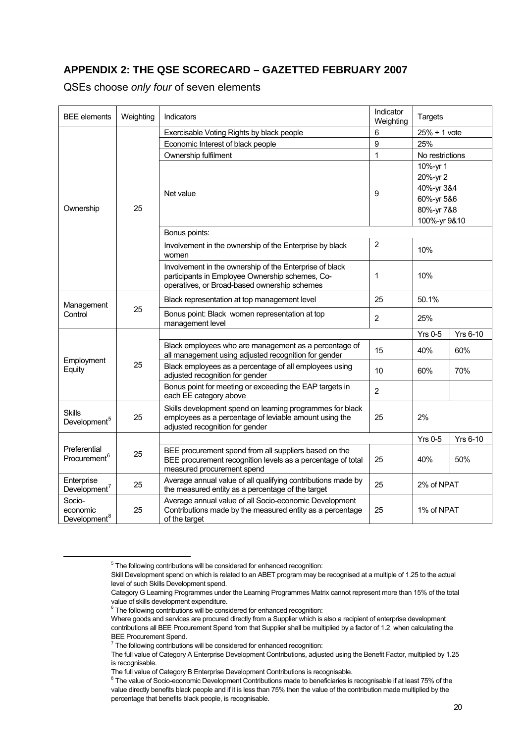## <span id="page-19-0"></span>**APPENDIX 2: THE QSE SCORECARD – GAZETTED FEBRUARY 2007**

QSEs choose *only four* of seven elements

| <b>BEE</b> elements                            | Weighting | Indicators                                                                                                                                         | Indicator<br>Weighting | <b>Targets</b>  |                 |
|------------------------------------------------|-----------|----------------------------------------------------------------------------------------------------------------------------------------------------|------------------------|-----------------|-----------------|
|                                                |           | Exercisable Voting Rights by black people                                                                                                          | 6                      | $25% + 1$ vote  |                 |
|                                                |           | Economic Interest of black people                                                                                                                  | 9                      | 25%             |                 |
|                                                |           | Ownership fulfilment                                                                                                                               | $\mathbf 1$            | No restrictions |                 |
|                                                |           |                                                                                                                                                    |                        | 10%-yr 1        |                 |
|                                                |           |                                                                                                                                                    |                        | 20%-yr 2        |                 |
|                                                |           | Net value                                                                                                                                          | 9                      | 40%-yr 3&4      |                 |
|                                                |           |                                                                                                                                                    |                        | 60%-yr 5&6      |                 |
| Ownership                                      | 25        |                                                                                                                                                    |                        | 80%-yr 7&8      |                 |
|                                                |           |                                                                                                                                                    |                        | 100%-yr 9&10    |                 |
|                                                |           | Bonus points:                                                                                                                                      |                        |                 |                 |
|                                                |           | Involvement in the ownership of the Enterprise by black<br>women                                                                                   | $\overline{2}$         | 10%             |                 |
|                                                |           | Involvement in the ownership of the Enterprise of black                                                                                            |                        | 10%             |                 |
|                                                |           | participants in Employee Ownership schemes, Co-<br>operatives, or Broad-based ownership schemes                                                    | 1                      |                 |                 |
| Management                                     | 25        | Black representation at top management level                                                                                                       | 25                     | 50.1%           |                 |
| Control                                        |           | Bonus point: Black women representation at top<br>management level                                                                                 | $\overline{2}$         | 25%             |                 |
|                                                | 25        |                                                                                                                                                    |                        | <b>Yrs 0-5</b>  | <b>Yrs 6-10</b> |
|                                                |           | Black employees who are management as a percentage of<br>all management using adjusted recognition for gender                                      | 15                     | 40%             | 60%             |
| Employment<br>Equity                           |           | Black employees as a percentage of all employees using<br>adjusted recognition for gender                                                          | 10                     | 60%             | 70%             |
|                                                |           | Bonus point for meeting or exceeding the EAP targets in<br>each EE category above                                                                  | $\overline{2}$         |                 |                 |
| <b>Skills</b><br>Development <sup>5</sup>      | 25        | Skills development spend on learning programmes for black<br>employees as a percentage of leviable amount using the                                | 25                     | 2%              |                 |
|                                                |           | adjusted recognition for gender                                                                                                                    |                        |                 |                 |
|                                                |           |                                                                                                                                                    |                        | <b>Yrs 0-5</b>  | <b>Yrs 6-10</b> |
| Preferential<br>Procurement <sup>6</sup>       | 25        | BEE procurement spend from all suppliers based on the<br>BEE procurement recognition levels as a percentage of total<br>measured procurement spend | 25                     | 40%             | 50%             |
| Enterprise<br>Development <sup>7</sup>         | 25        | Average annual value of all qualifying contributions made by<br>the measured entity as a percentage of the target                                  | 25                     | 2% of NPAT      |                 |
| Socio-<br>economic<br>Development <sup>8</sup> | 25        | Average annual value of all Socio-economic Development<br>Contributions made by the measured entity as a percentage<br>of the target               | 25                     | 1% of NPAT      |                 |

 $5$  The following contributions will be considered for enhanced recognition:

<span id="page-19-1"></span>Skill Development spend on which is related to an ABET program may be recognised at a multiple of 1.25 to the actual level of such Skills Development spend.

Category G Learning Programmes under the Learning Programmes Matrix cannot represent more than 15% of the total value of skills development expenditure.

 $6$  The following contributions will be considered for enhanced recognition:

<span id="page-19-2"></span>Where goods and services are procured directly from a Supplier which is also a recipient of enterprise development contributions all BEE Procurement Spend from that Supplier shall be multiplied by a factor of 1.2 when calculating the BEE Procurement Spend.

 $7$  The following contributions will be considered for enhanced recognition:

<span id="page-19-3"></span>The full value of Category A Enterprise Development Contributions, adjusted using the Benefit Factor, multiplied by 1.25 is recognisable.

The full value of Category B Enterprise Development Contributions is recognisable. 8

<span id="page-19-4"></span><sup>&</sup>lt;sup>8</sup> The value of Socio-economic Development Contributions made to beneficiaries is recognisable if at least 75% of the value directly benefits black people and if it is less than 75% then the value of the contribution made multiplied by the percentage that benefits black people, is recognisable.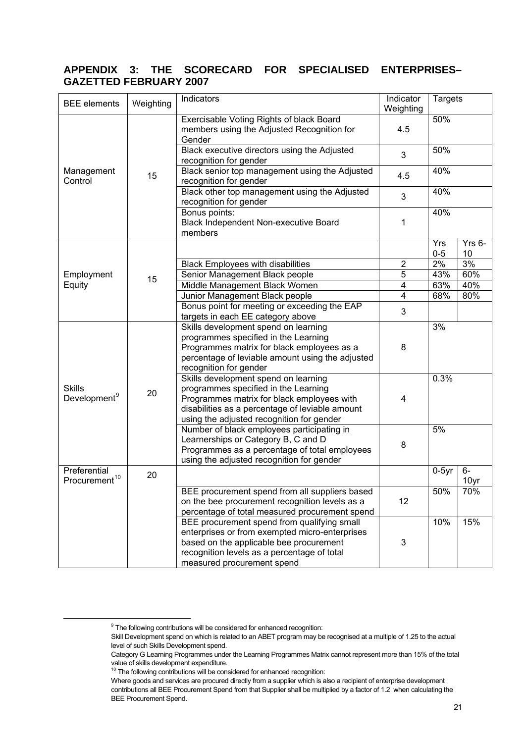## <span id="page-20-0"></span>**APPENDIX 3: THE SCORECARD FOR SPECIALISED ENTERPRISES– GAZETTED FEBRUARY 2007**

| <b>BEE</b> elements                       | Weighting | Indicators                                                                                                                                                                                                                 | Indicator<br>Weighting | <b>Targets</b> |                |
|-------------------------------------------|-----------|----------------------------------------------------------------------------------------------------------------------------------------------------------------------------------------------------------------------------|------------------------|----------------|----------------|
|                                           |           | Exercisable Voting Rights of black Board<br>members using the Adjusted Recognition for<br>Gender                                                                                                                           | 4.5                    | 50%            |                |
|                                           |           | Black executive directors using the Adjusted<br>recognition for gender                                                                                                                                                     | 3                      | 50%            |                |
| Management<br>Control                     | 15        | Black senior top management using the Adjusted<br>recognition for gender                                                                                                                                                   | 4.5                    | 40%            |                |
|                                           |           | Black other top management using the Adjusted<br>recognition for gender                                                                                                                                                    | 3                      | 40%            |                |
|                                           |           | Bonus points:<br>Black Independent Non-executive Board<br>members                                                                                                                                                          | 1                      | 40%            |                |
|                                           |           |                                                                                                                                                                                                                            |                        | Yrs<br>$0 - 5$ | $Yrs$ 6-<br>10 |
|                                           |           | <b>Black Employees with disabilities</b>                                                                                                                                                                                   | $\overline{2}$         | 2%             | 3%             |
| Employment                                |           | Senior Management Black people                                                                                                                                                                                             | 5                      | 43%            | 60%            |
| Equity                                    | 15        | Middle Management Black Women                                                                                                                                                                                              | 4                      | 63%            | 40%            |
|                                           |           | Junior Management Black people                                                                                                                                                                                             | 4                      | 68%            | 80%            |
|                                           |           | Bonus point for meeting or exceeding the EAP                                                                                                                                                                               |                        |                |                |
|                                           |           | targets in each EE category above                                                                                                                                                                                          | 3                      |                |                |
|                                           |           | Skills development spend on learning<br>programmes specified in the Learning<br>Programmes matrix for black employees as a<br>percentage of leviable amount using the adjusted<br>recognition for gender                   | 8                      | 3%             |                |
| <b>Skills</b><br>Development <sup>9</sup> | 20        | Skills development spend on learning<br>programmes specified in the Learning<br>Programmes matrix for black employees with<br>disabilities as a percentage of leviable amount<br>using the adjusted recognition for gender | 4                      | 0.3%           |                |
|                                           |           | Number of black employees participating in<br>Learnerships or Category B, C and D<br>Programmes as a percentage of total employees<br>using the adjusted recognition for gender                                            | 8                      | 5%             |                |
| Preferential<br>Procurement <sup>10</sup> | 20        |                                                                                                                                                                                                                            |                        | $0-5yr$        | 6-<br>10yr     |
|                                           |           | BEE procurement spend from all suppliers based<br>on the bee procurement recognition levels as a<br>percentage of total measured procurement spend                                                                         | 12                     | 50%            | 70%            |
|                                           |           | BEE procurement spend from qualifying small<br>enterprises or from exempted micro-enterprises<br>based on the applicable bee procurement<br>recognition levels as a percentage of total<br>measured procurement spend      | 3                      | 10%            | 15%            |

<span id="page-20-1"></span> $9$  The following contributions will be considered for enhanced recognition:

Skill Development spend on which is related to an ABET program may be recognised at a multiple of 1.25 to the actual level of such Skills Development spend.

Category G Learning Programmes under the Learning Programmes Matrix cannot represent more than 15% of the total value of skills development expenditure.

<span id="page-20-2"></span><sup>&</sup>lt;sup>10</sup> The following contributions will be considered for enhanced recognition:

Where goods and services are procured directly from a supplier which is also a recipient of enterprise development contributions all BEE Procurement Spend from that Supplier shall be multiplied by a factor of 1.2 when calculating the BEE Procurement Spend.